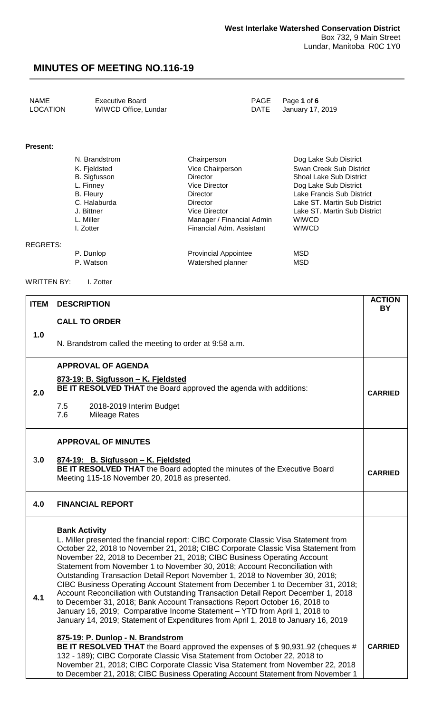| NAME     | <b>Executive Board</b> | PAGE Page 1 of 6      |
|----------|------------------------|-----------------------|
| LOCATION | WIWCD Office, Lundar   | DATE January 17, 2019 |

#### **Present:**

REGRETS:

| N. Brandstrom       | Chairperson                | Dog Lake Sub District          |
|---------------------|----------------------------|--------------------------------|
| K. Fjeldsted        | Vice Chairperson           | Swan Creek Sub District        |
| <b>B.</b> Sigfusson | <b>Director</b>            | <b>Shoal Lake Sub District</b> |
| L. Finney           | <b>Vice Director</b>       | Dog Lake Sub District          |
| B. Fleury           | Director                   | Lake Francis Sub District      |
| C. Halaburda        | <b>Director</b>            | Lake ST. Martin Sub District   |
| J. Bittner          | <b>Vice Director</b>       | Lake ST. Martin Sub District   |
| L. Miller           | Manager / Financial Admin  | <b>WIWCD</b>                   |
| I. Zotter           | Financial Adm. Assistant   | <b>WIWCD</b>                   |
|                     |                            |                                |
| <b>D.</b> D.  L.    | Desides shall Alan shaka a | $\sqrt{2}$                     |

| P. Dunlop | <b>Provincial Appointee</b> | MSD. |
|-----------|-----------------------------|------|
| P. Watson | Watershed planner           | MSD. |

WRITTEN BY: I. Zotter

| <b>ITEM</b> | <b>DESCRIPTION</b>                                                                                                                                                                                                                                                                                                                                                                                                                                                                                                                                                                                                                                                                                                                                                                                                                                                                                          | <b>ACTION</b><br>BY |
|-------------|-------------------------------------------------------------------------------------------------------------------------------------------------------------------------------------------------------------------------------------------------------------------------------------------------------------------------------------------------------------------------------------------------------------------------------------------------------------------------------------------------------------------------------------------------------------------------------------------------------------------------------------------------------------------------------------------------------------------------------------------------------------------------------------------------------------------------------------------------------------------------------------------------------------|---------------------|
|             | <b>CALL TO ORDER</b>                                                                                                                                                                                                                                                                                                                                                                                                                                                                                                                                                                                                                                                                                                                                                                                                                                                                                        |                     |
| 1.0         | N. Brandstrom called the meeting to order at 9:58 a.m.                                                                                                                                                                                                                                                                                                                                                                                                                                                                                                                                                                                                                                                                                                                                                                                                                                                      |                     |
| 2.0         | <b>APPROVAL OF AGENDA</b><br>873-19: B. Sigfusson - K. Fjeldsted<br><b>BE IT RESOLVED THAT</b> the Board approved the agenda with additions:<br>7.5<br>2018-2019 Interim Budget<br>7.6<br><b>Mileage Rates</b>                                                                                                                                                                                                                                                                                                                                                                                                                                                                                                                                                                                                                                                                                              | <b>CARRIED</b>      |
| 3.0         | <b>APPROVAL OF MINUTES</b><br>874-19: B. Sigfusson - K. Fjeldsted<br>BE IT RESOLVED THAT the Board adopted the minutes of the Executive Board<br>Meeting 115-18 November 20, 2018 as presented.                                                                                                                                                                                                                                                                                                                                                                                                                                                                                                                                                                                                                                                                                                             | <b>CARRIED</b>      |
| 4.0         | <b>FINANCIAL REPORT</b>                                                                                                                                                                                                                                                                                                                                                                                                                                                                                                                                                                                                                                                                                                                                                                                                                                                                                     |                     |
| 4.1         | <b>Bank Activity</b><br>L. Miller presented the financial report: CIBC Corporate Classic Visa Statement from<br>October 22, 2018 to November 21, 2018; CIBC Corporate Classic Visa Statement from<br>November 22, 2018 to December 21, 2018; CIBC Business Operating Account<br>Statement from November 1 to November 30, 2018; Account Reconciliation with<br>Outstanding Transaction Detail Report November 1, 2018 to November 30, 2018;<br>CIBC Business Operating Account Statement from December 1 to December 31, 2018;<br>Account Reconciliation with Outstanding Transaction Detail Report December 1, 2018<br>to December 31, 2018; Bank Account Transactions Report October 16, 2018 to<br>January 16, 2019; Comparative Income Statement - YTD from April 1, 2018 to<br>January 14, 2019; Statement of Expenditures from April 1, 2018 to January 16, 2019<br>875-19: P. Dunlop - N. Brandstrom |                     |
|             | BE IT RESOLVED THAT the Board approved the expenses of \$90,931.92 (cheques #<br>132 - 189); CIBC Corporate Classic Visa Statement from October 22, 2018 to<br>November 21, 2018; CIBC Corporate Classic Visa Statement from November 22, 2018<br>to December 21, 2018; CIBC Business Operating Account Statement from November 1                                                                                                                                                                                                                                                                                                                                                                                                                                                                                                                                                                           | <b>CARRIED</b>      |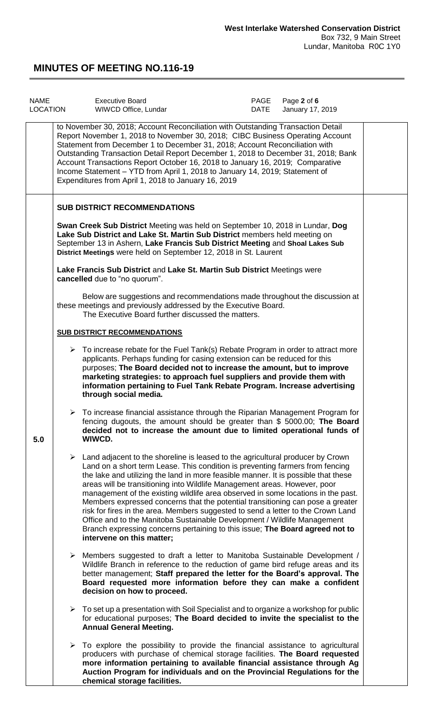| <b>NAME</b><br>LOCATION | <b>Executive Board</b><br>WIWCD Office, Lundar                                                                                                                                                                                                                                                                                                                                                                                                                                                                                                                                                                                                                                                                                                                                                         | PAGE<br><b>DATE</b> | Page 2 of 6<br>January 17, 2019 |  |
|-------------------------|--------------------------------------------------------------------------------------------------------------------------------------------------------------------------------------------------------------------------------------------------------------------------------------------------------------------------------------------------------------------------------------------------------------------------------------------------------------------------------------------------------------------------------------------------------------------------------------------------------------------------------------------------------------------------------------------------------------------------------------------------------------------------------------------------------|---------------------|---------------------------------|--|
|                         | to November 30, 2018; Account Reconciliation with Outstanding Transaction Detail<br>Report November 1, 2018 to November 30, 2018; CIBC Business Operating Account<br>Statement from December 1 to December 31, 2018; Account Reconciliation with<br>Outstanding Transaction Detail Report December 1, 2018 to December 31, 2018; Bank<br>Account Transactions Report October 16, 2018 to January 16, 2019; Comparative<br>Income Statement - YTD from April 1, 2018 to January 14, 2019; Statement of<br>Expenditures from April 1, 2018 to January 16, 2019                                                                                                                                                                                                                                           |                     |                                 |  |
|                         | <b>SUB DISTRICT RECOMMENDATIONS</b>                                                                                                                                                                                                                                                                                                                                                                                                                                                                                                                                                                                                                                                                                                                                                                    |                     |                                 |  |
|                         | Swan Creek Sub District Meeting was held on September 10, 2018 in Lundar, Dog<br>Lake Sub District and Lake St. Martin Sub District members held meeting on<br>September 13 in Ashern, Lake Francis Sub District Meeting and Shoal Lakes Sub<br>District Meetings were held on September 12, 2018 in St. Laurent                                                                                                                                                                                                                                                                                                                                                                                                                                                                                       |                     |                                 |  |
|                         | Lake Francis Sub District and Lake St. Martin Sub District Meetings were<br>cancelled due to "no quorum".                                                                                                                                                                                                                                                                                                                                                                                                                                                                                                                                                                                                                                                                                              |                     |                                 |  |
|                         | Below are suggestions and recommendations made throughout the discussion at<br>these meetings and previously addressed by the Executive Board.<br>The Executive Board further discussed the matters.                                                                                                                                                                                                                                                                                                                                                                                                                                                                                                                                                                                                   |                     |                                 |  |
|                         | <b>SUB DISTRICT RECOMMENDATIONS</b>                                                                                                                                                                                                                                                                                                                                                                                                                                                                                                                                                                                                                                                                                                                                                                    |                     |                                 |  |
|                         | $\triangleright$ To increase rebate for the Fuel Tank(s) Rebate Program in order to attract more<br>applicants. Perhaps funding for casing extension can be reduced for this<br>purposes; The Board decided not to increase the amount, but to improve<br>marketing strategies: to approach fuel suppliers and provide them with<br>information pertaining to Fuel Tank Rebate Program. Increase advertising<br>through social media.                                                                                                                                                                                                                                                                                                                                                                  |                     |                                 |  |
| 5.0                     | To increase financial assistance through the Riparian Management Program for<br>fencing dugouts, the amount should be greater than \$ 5000.00; The Board<br>decided not to increase the amount due to limited operational funds of<br>WIWCD.                                                                                                                                                                                                                                                                                                                                                                                                                                                                                                                                                           |                     |                                 |  |
|                         | $\triangleright$ Land adjacent to the shoreline is leased to the agricultural producer by Crown<br>Land on a short term Lease. This condition is preventing farmers from fencing<br>the lake and utilizing the land in more feasible manner. It is possible that these<br>areas will be transitioning into Wildlife Management areas. However, poor<br>management of the existing wildlife area observed in some locations in the past.<br>Members expressed concerns that the potential transitioning can pose a greater<br>risk for fires in the area. Members suggested to send a letter to the Crown Land<br>Office and to the Manitoba Sustainable Development / Wildlife Management<br>Branch expressing concerns pertaining to this issue; The Board agreed not to<br>intervene on this matter; |                     |                                 |  |
|                         | $\triangleright$ Members suggested to draft a letter to Manitoba Sustainable Development /<br>Wildlife Branch in reference to the reduction of game bird refuge areas and its<br>better management; Staff prepared the letter for the Board's approval. The<br>Board requested more information before they can make a confident<br>decision on how to proceed.                                                                                                                                                                                                                                                                                                                                                                                                                                        |                     |                                 |  |
|                         | $\triangleright$ To set up a presentation with Soil Specialist and to organize a workshop for public<br>for educational purposes; The Board decided to invite the specialist to the<br><b>Annual General Meeting.</b>                                                                                                                                                                                                                                                                                                                                                                                                                                                                                                                                                                                  |                     |                                 |  |
|                         | $\triangleright$ To explore the possibility to provide the financial assistance to agricultural<br>producers with purchase of chemical storage facilities. The Board requested<br>more information pertaining to available financial assistance through Ag<br>Auction Program for individuals and on the Provincial Regulations for the<br>chemical storage facilities.                                                                                                                                                                                                                                                                                                                                                                                                                                |                     |                                 |  |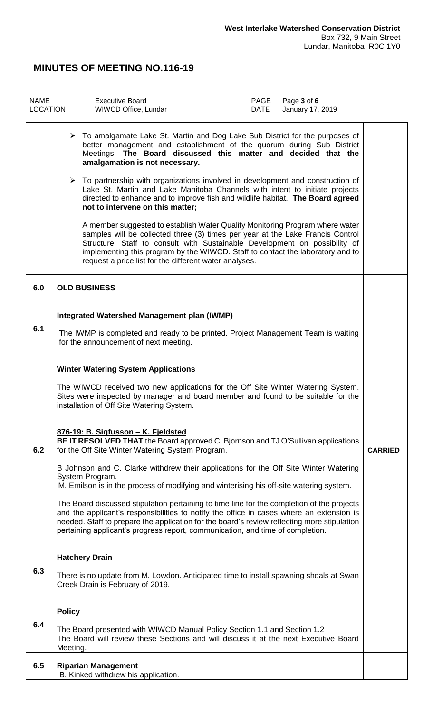| <b>NAME</b><br>LOCATION | Page 3 of 6<br><b>Executive Board</b><br>PAGE<br>January 17, 2019<br>WIWCD Office, Lundar<br>DATE                                                                                                                                                                                                                                                                                                                                                                                                                                                                                                                                                                                                                                                                                                                                                                                                                                                                                                                                 |                |
|-------------------------|-----------------------------------------------------------------------------------------------------------------------------------------------------------------------------------------------------------------------------------------------------------------------------------------------------------------------------------------------------------------------------------------------------------------------------------------------------------------------------------------------------------------------------------------------------------------------------------------------------------------------------------------------------------------------------------------------------------------------------------------------------------------------------------------------------------------------------------------------------------------------------------------------------------------------------------------------------------------------------------------------------------------------------------|----------------|
|                         | $\triangleright$ To amalgamate Lake St. Martin and Dog Lake Sub District for the purposes of<br>better management and establishment of the quorum during Sub District<br>Meetings. The Board discussed this matter and decided that the<br>amalgamation is not necessary.<br>$\triangleright$ To partnership with organizations involved in development and construction of<br>Lake St. Martin and Lake Manitoba Channels with intent to initiate projects<br>directed to enhance and to improve fish and wildlife habitat. The Board agreed<br>not to intervene on this matter;<br>A member suggested to establish Water Quality Monitoring Program where water<br>samples will be collected three (3) times per year at the Lake Francis Control<br>Structure. Staff to consult with Sustainable Development on possibility of<br>implementing this program by the WIWCD. Staff to contact the laboratory and to<br>request a price list for the different water analyses.                                                      |                |
| 6.0                     | <b>OLD BUSINESS</b>                                                                                                                                                                                                                                                                                                                                                                                                                                                                                                                                                                                                                                                                                                                                                                                                                                                                                                                                                                                                               |                |
| 6.1                     | <b>Integrated Watershed Management plan (IWMP)</b><br>The IWMP is completed and ready to be printed. Project Management Team is waiting<br>for the announcement of next meeting.                                                                                                                                                                                                                                                                                                                                                                                                                                                                                                                                                                                                                                                                                                                                                                                                                                                  |                |
| 6.2                     | <b>Winter Watering System Applications</b><br>The WIWCD received two new applications for the Off Site Winter Watering System.<br>Sites were inspected by manager and board member and found to be suitable for the<br>installation of Off Site Watering System.<br>876-19: B. Sigfusson - K. Fjeldsted<br>BE IT RESOLVED THAT the Board approved C. Bjornson and TJ O'Sullivan applications<br>for the Off Site Winter Watering System Program.<br>B Johnson and C. Clarke withdrew their applications for the Off Site Winter Watering<br>System Program.<br>M. Emilson is in the process of modifying and winterising his off-site watering system.<br>The Board discussed stipulation pertaining to time line for the completion of the projects<br>and the applicant's responsibilities to notify the office in cases where an extension is<br>needed. Staff to prepare the application for the board's review reflecting more stipulation<br>pertaining applicant's progress report, communication, and time of completion. | <b>CARRIED</b> |
| 6.3                     | <b>Hatchery Drain</b><br>There is no update from M. Lowdon. Anticipated time to install spawning shoals at Swan<br>Creek Drain is February of 2019.                                                                                                                                                                                                                                                                                                                                                                                                                                                                                                                                                                                                                                                                                                                                                                                                                                                                               |                |
| 6.4                     | <b>Policy</b><br>The Board presented with WIWCD Manual Policy Section 1.1 and Section 1.2<br>The Board will review these Sections and will discuss it at the next Executive Board<br>Meeting.                                                                                                                                                                                                                                                                                                                                                                                                                                                                                                                                                                                                                                                                                                                                                                                                                                     |                |
| 6.5                     | <b>Riparian Management</b><br>B. Kinked withdrew his application.                                                                                                                                                                                                                                                                                                                                                                                                                                                                                                                                                                                                                                                                                                                                                                                                                                                                                                                                                                 |                |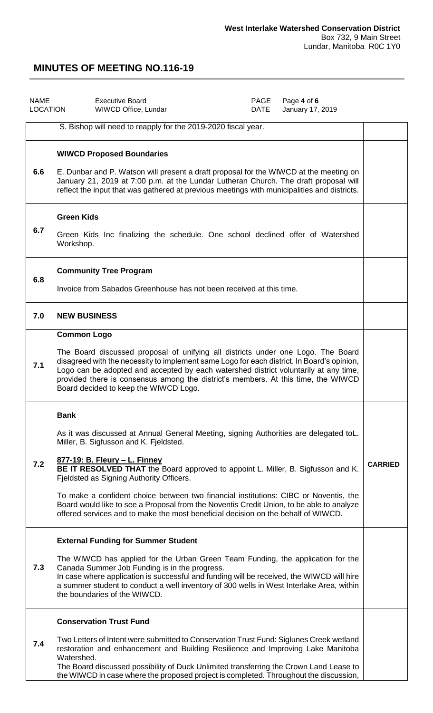| <b>NAME</b><br><b>LOCATION</b> | <b>Executive Board</b><br>PAGE<br><b>DATE</b><br>WIWCD Office, Lundar                                                                                                                                                                                                                                                                                                                                                                                                                                                                                                                    | Page 4 of 6<br>January 17, 2019 |                |
|--------------------------------|------------------------------------------------------------------------------------------------------------------------------------------------------------------------------------------------------------------------------------------------------------------------------------------------------------------------------------------------------------------------------------------------------------------------------------------------------------------------------------------------------------------------------------------------------------------------------------------|---------------------------------|----------------|
|                                | S. Bishop will need to reapply for the 2019-2020 fiscal year.                                                                                                                                                                                                                                                                                                                                                                                                                                                                                                                            |                                 |                |
| 6.6                            | <b>WIWCD Proposed Boundaries</b><br>E. Dunbar and P. Watson will present a draft proposal for the WIWCD at the meeting on<br>January 21, 2019 at 7:00 p.m. at the Lundar Lutheran Church. The draft proposal will<br>reflect the input that was gathered at previous meetings with municipalities and districts.                                                                                                                                                                                                                                                                         |                                 |                |
| 6.7                            | <b>Green Kids</b><br>Green Kids Inc finalizing the schedule. One school declined offer of Watershed<br>Workshop.                                                                                                                                                                                                                                                                                                                                                                                                                                                                         |                                 |                |
| 6.8                            | <b>Community Tree Program</b><br>Invoice from Sabados Greenhouse has not been received at this time.                                                                                                                                                                                                                                                                                                                                                                                                                                                                                     |                                 |                |
| 7.0                            | <b>NEW BUSINESS</b>                                                                                                                                                                                                                                                                                                                                                                                                                                                                                                                                                                      |                                 |                |
| 7.1                            | <b>Common Logo</b><br>The Board discussed proposal of unifying all districts under one Logo. The Board<br>disagreed with the necessity to implement same Logo for each district. In Board's opinion,<br>Logo can be adopted and accepted by each watershed district voluntarily at any time,<br>provided there is consensus among the district's members. At this time, the WIWCD<br>Board decided to keep the WIWCD Logo.                                                                                                                                                               |                                 |                |
| 7.2                            | <b>Bank</b><br>As it was discussed at Annual General Meeting, signing Authorities are delegated toL.<br>Miller, B. Sigfusson and K. Fjeldsted.<br>877-19: B. Fleury - L. Finney<br>BE IT RESOLVED THAT the Board approved to appoint L. Miller, B. Sigfusson and K.<br>Fjeldsted as Signing Authority Officers.<br>To make a confident choice between two financial institutions: CIBC or Noventis, the<br>Board would like to see a Proposal from the Noventis Credit Union, to be able to analyze<br>offered services and to make the most beneficial decision on the behalf of WIWCD. |                                 | <b>CARRIED</b> |
| 7.3                            | <b>External Funding for Summer Student</b><br>The WIWCD has applied for the Urban Green Team Funding, the application for the<br>Canada Summer Job Funding is in the progress.<br>In case where application is successful and funding will be received, the WIWCD will hire<br>a summer student to conduct a well inventory of 300 wells in West Interlake Area, within<br>the boundaries of the WIWCD.                                                                                                                                                                                  |                                 |                |
| 7.4                            | <b>Conservation Trust Fund</b><br>Two Letters of Intent were submitted to Conservation Trust Fund: Siglunes Creek wetland<br>restoration and enhancement and Building Resilience and Improving Lake Manitoba<br>Watershed.<br>The Board discussed possibility of Duck Unlimited transferring the Crown Land Lease to<br>the WIWCD in case where the proposed project is completed. Throughout the discussion,                                                                                                                                                                            |                                 |                |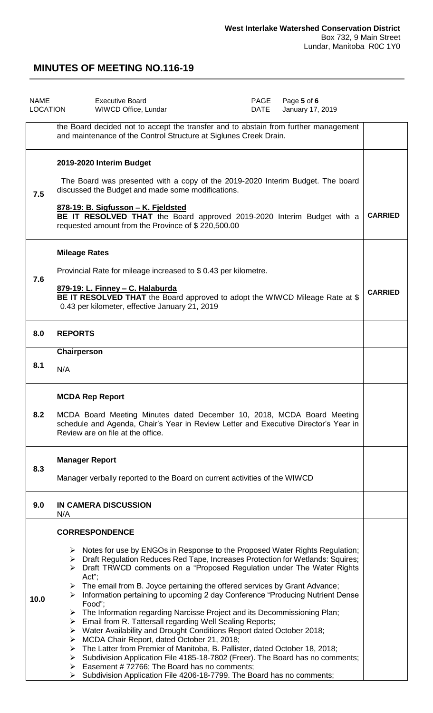| <b>NAME</b><br>LOCATION | Page 5 of 6<br><b>Executive Board</b><br>PAGE<br>WIWCD Office, Lundar<br>DATE<br>January 17, 2019                                                                                                                                                                                                                                                                                                                                                                                                                                                                                                                                                                                                                                                                                                                                                                                                                                                                                                                                                                                        |                |
|-------------------------|------------------------------------------------------------------------------------------------------------------------------------------------------------------------------------------------------------------------------------------------------------------------------------------------------------------------------------------------------------------------------------------------------------------------------------------------------------------------------------------------------------------------------------------------------------------------------------------------------------------------------------------------------------------------------------------------------------------------------------------------------------------------------------------------------------------------------------------------------------------------------------------------------------------------------------------------------------------------------------------------------------------------------------------------------------------------------------------|----------------|
|                         | the Board decided not to accept the transfer and to abstain from further management<br>and maintenance of the Control Structure at Siglunes Creek Drain.                                                                                                                                                                                                                                                                                                                                                                                                                                                                                                                                                                                                                                                                                                                                                                                                                                                                                                                                 |                |
| 7.5                     | 2019-2020 Interim Budget<br>The Board was presented with a copy of the 2019-2020 Interim Budget. The board<br>discussed the Budget and made some modifications.<br>878-19: B. Sigfusson - K. Fjeldsted<br>BE IT RESOLVED THAT the Board approved 2019-2020 Interim Budget with a<br>requested amount from the Province of \$220,500.00                                                                                                                                                                                                                                                                                                                                                                                                                                                                                                                                                                                                                                                                                                                                                   | <b>CARRIED</b> |
| 7.6                     | <b>Mileage Rates</b><br>Provincial Rate for mileage increased to \$0.43 per kilometre.<br>879-19: L. Finney - C. Halaburda<br>BE IT RESOLVED THAT the Board approved to adopt the WIWCD Mileage Rate at \$<br>0.43 per kilometer, effective January 21, 2019                                                                                                                                                                                                                                                                                                                                                                                                                                                                                                                                                                                                                                                                                                                                                                                                                             | <b>CARRIED</b> |
| 8.0                     | <b>REPORTS</b>                                                                                                                                                                                                                                                                                                                                                                                                                                                                                                                                                                                                                                                                                                                                                                                                                                                                                                                                                                                                                                                                           |                |
| 8.1                     | Chairperson<br>N/A                                                                                                                                                                                                                                                                                                                                                                                                                                                                                                                                                                                                                                                                                                                                                                                                                                                                                                                                                                                                                                                                       |                |
| 8.2                     | <b>MCDA Rep Report</b><br>MCDA Board Meeting Minutes dated December 10, 2018, MCDA Board Meeting<br>schedule and Agenda, Chair's Year in Review Letter and Executive Director's Year in<br>Review are on file at the office.                                                                                                                                                                                                                                                                                                                                                                                                                                                                                                                                                                                                                                                                                                                                                                                                                                                             |                |
| 8.3                     | <b>Manager Report</b><br>Manager verbally reported to the Board on current activities of the WIWCD                                                                                                                                                                                                                                                                                                                                                                                                                                                                                                                                                                                                                                                                                                                                                                                                                                                                                                                                                                                       |                |
| 9.0                     | <b>IN CAMERA DISCUSSION</b><br>N/A                                                                                                                                                                                                                                                                                                                                                                                                                                                                                                                                                                                                                                                                                                                                                                                                                                                                                                                                                                                                                                                       |                |
| 10.0                    | <b>CORRESPONDENCE</b><br>$\triangleright$ Notes for use by ENGOs in Response to the Proposed Water Rights Regulation;<br>> Draft Regulation Reduces Red Tape, Increases Protection for Wetlands: Squires;<br>$\triangleright$ Draft TRWCD comments on a "Proposed Regulation under The Water Rights<br>Act";<br>The email from B. Joyce pertaining the offered services by Grant Advance;<br>➤<br>Information pertaining to upcoming 2 day Conference "Producing Nutrient Dense<br>➤<br>Food";<br>$\triangleright$ The Information regarding Narcisse Project and its Decommissioning Plan;<br>> Email from R. Tattersall regarding Well Sealing Reports;<br>> Water Availability and Drought Conditions Report dated October 2018;<br>> MCDA Chair Report, dated October 21, 2018;<br>> The Latter from Premier of Manitoba, B. Pallister, dated October 18, 2018;<br>Subdivision Application File 4185-18-7802 (Freer). The Board has no comments;<br>➤<br>Easement #72766; The Board has no comments;<br>➤<br>> Subdivision Application File 4206-18-7799. The Board has no comments; |                |